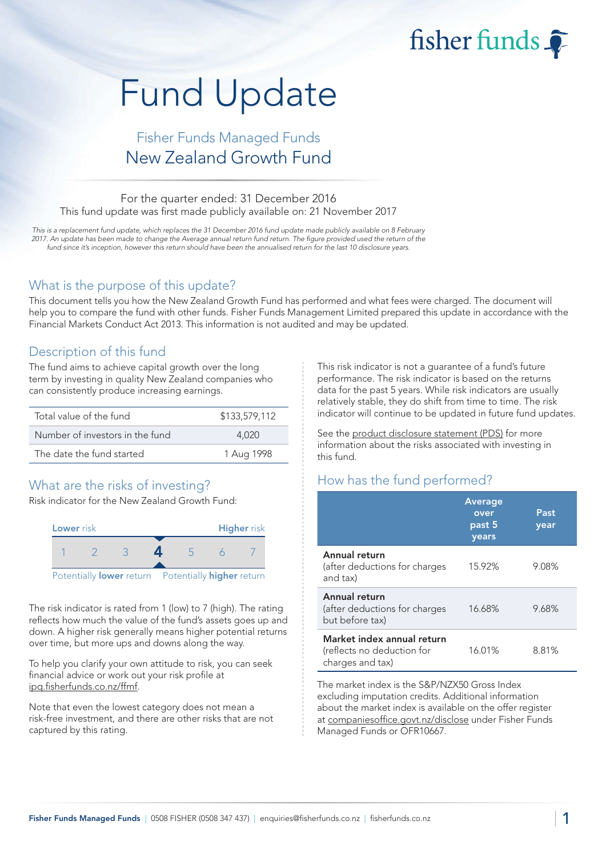# Fund Update

## Fisher Funds Managed Funds New Zealand Growth Fund

#### For the quarter ended: 31 December 2016 This fund update was first made publicly available on: 21 November 2017

This is a replacement fund update, which replaces the 31 December 2016 fund update made publicly available on 8 February 2017. An update has been made to change the Average annual return fund return. The figure provided used the return of the fund since it's inception, however this return should have been the annualised return for the last 10 disclosure years.

#### What is the purpose of this update?

This document tells you how the New Zealand Growth Fund has performed and what fees were charged. The document will help you to compare the fund with other funds. Fisher Funds Management Limited prepared this update in accordance with the Financial Markets Conduct Act 2013. This information is not audited and may be updated.

#### Description of this fund

The fund aims to achieve capital growth over the long term by investing in quality New Zealand companies who can consistently produce increasing earnings.

| Total value of the fund         | \$133,579,112 |
|---------------------------------|---------------|
| Number of investors in the fund | 4.020         |
| The date the fund started       | 1 Aug 1998    |

## What are the risks of investing?

Risk indicator for the New Zealand Growth Fund:



The risk indicator is rated from 1 (low) to 7 (high). The rating reflects how much the value of the fund's assets goes up and down. A higher risk generally means higher potential returns over time, but more ups and downs along the way.

To help you clarify your own attitude to risk, you can seek financial advice or work out your risk profile at [ipq.fisherfunds.co.nz/ffmf.](https://ipq.fisherfunds.co.nz/ffmf)

Note that even the lowest category does not mean a risk-free investment, and there are other risks that are not captured by this rating.

This risk indicator is not a guarantee of a fund's future performance. The risk indicator is based on the returns data for the past 5 years. While risk indicators are usually relatively stable, they do shift from time to time. The risk indicator will continue to be updated in future fund updates.

fisher funds

See the [product disclosure statement \(PDS\)](https://fisherfunds.co.nz/assets/PDS/Fisher-Funds-Managed-Funds-PDS.pdf) for more information about the risks associated with investing in this fund.

## How has the fund performed?

|                                                                              | <b>Average</b><br>over<br>past 5<br>years | Past<br>year |
|------------------------------------------------------------------------------|-------------------------------------------|--------------|
| Annual return<br>(after deductions for charges<br>and tax)                   | 15.92%                                    | 9.08%        |
| Annual return<br>(after deductions for charges<br>but before tax)            | 16.68%                                    | 9.68%        |
| Market index annual return<br>(reflects no deduction for<br>charges and tax) | 16.01%                                    | 8.81%        |

The market index is the S&P/NZX50 Gross Index excluding imputation credits. Additional information about the market index is available on the offer register at [companiesoffice.govt.nz/disclose](http://companiesoffice.govt.nz/disclose) under Fisher Funds Managed Funds or OFR10667.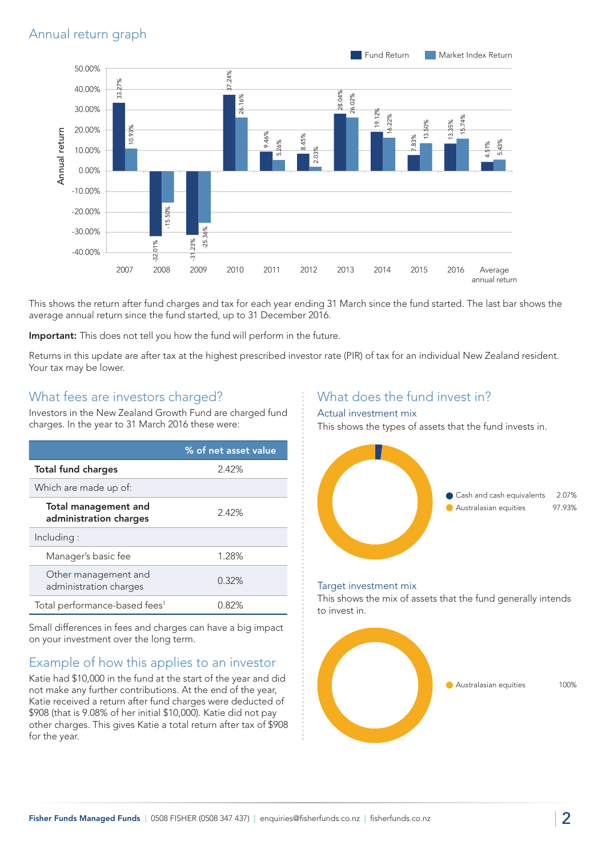## Annual return graph



This shows the return after fund charges and tax for each year ending 31 March since the fund started. The last bar shows the average annual return since the fund started, up to 31 December 2016.

Important: This does not tell you how the fund will perform in the future.

Returns in this update are after tax at the highest prescribed investor rate (PIR) of tax for an individual New Zealand resident. Your tax may be lower.

#### What fees are investors charged?

Investors in the New Zealand Growth Fund are charged fund charges. In the year to 31 March 2016 these were:

|                                                       | % of net asset value |
|-------------------------------------------------------|----------------------|
| <b>Total fund charges</b>                             | 2.42%                |
| Which are made up of:                                 |                      |
| <b>Total management and</b><br>administration charges | 2.42%                |
| Including:                                            |                      |
| Manager's basic fee                                   | 1.28%                |
| Other management and<br>administration charges        | 0.32%                |
| Total performance-based fees <sup>1</sup>             | 0.82%                |

Small differences in fees and charges can have a big impact on your investment over the long term.

## Example of how this applies to an investor

Katie had \$10,000 in the fund at the start of the year and did not make any further contributions. At the end of the year, Katie received a return after fund charges were deducted of \$908 (that is 9.08% of her initial \$10,000). Katie did not pay other charges. This gives Katie a total return after tax of \$908 for the year.

#### What does the fund invest in?

#### Actual investment mix

This shows the types of assets that the fund invests in.



#### Target investment mix

This shows the mix of assets that the fund generally intends to invest in.